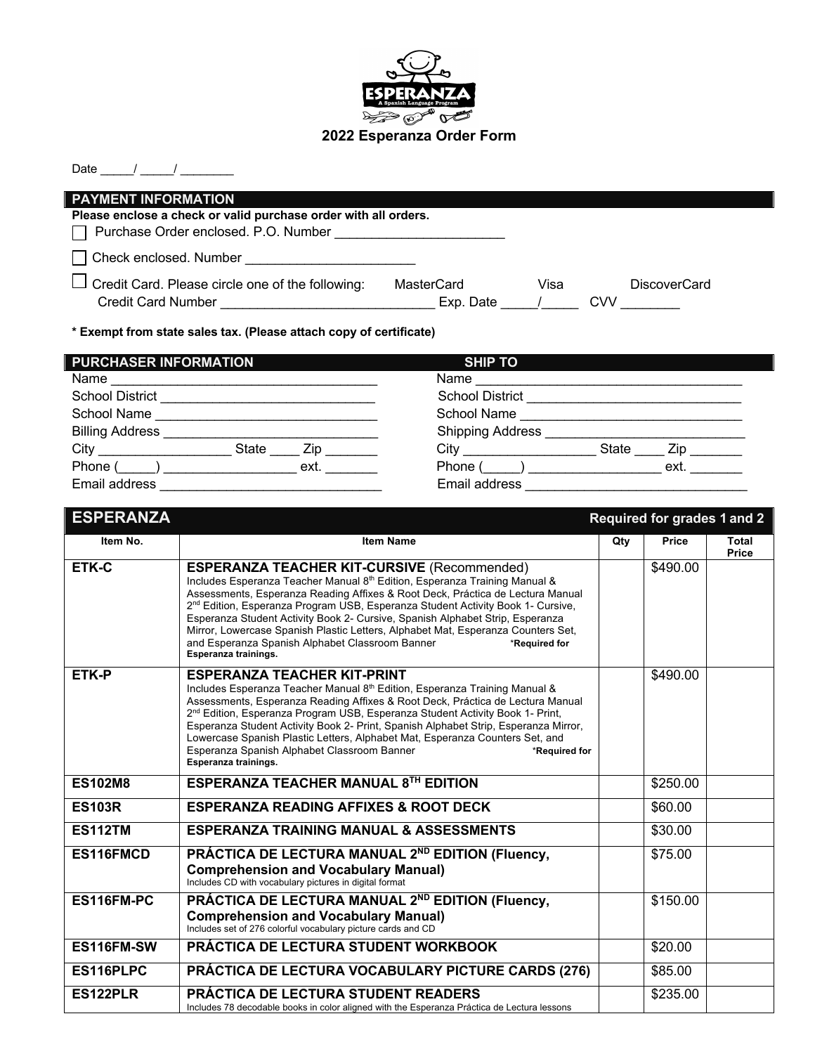

## **2022 Esperanza Order Form**

| <b>PAYMENT INFORMATION</b>                                      |            |      |                     |  |
|-----------------------------------------------------------------|------------|------|---------------------|--|
| Please enclose a check or valid purchase order with all orders. |            |      |                     |  |
| □ Purchase Order enclosed. P.O. Number                          |            |      |                     |  |
| Check enclosed. Number                                          |            |      |                     |  |
| $\Box$ Credit Card. Please circle one of the following:         | MasterCard | Visa | <b>DiscoverCard</b> |  |
| <b>Credit Card Number</b>                                       | Exp. Date  |      | <b>CVV</b>          |  |
|                                                                 |            |      |                     |  |

**\* Exempt from state sales tax. (Please attach copy of certificate)**

| <b>PURCHASER INFORMATION</b> | <b>SHIP TO</b>                                                                                                                                                                                                                                                               |
|------------------------------|------------------------------------------------------------------------------------------------------------------------------------------------------------------------------------------------------------------------------------------------------------------------------|
| Name                         | Name                                                                                                                                                                                                                                                                         |
| <b>School District</b>       | <b>School District</b>                                                                                                                                                                                                                                                       |
| School Name                  | School Name                                                                                                                                                                                                                                                                  |
| <b>Billing Address</b>       | <b>Shipping Address</b>                                                                                                                                                                                                                                                      |
| City<br><b>State</b><br>Zip  | <b>City City</b><br><b>State</b><br>Zip <sub>p</sub> and the set of the set of the set of the set of the set of the set of the set of the set of the set of the set of the set of the set of the set of the set of the set of the set of the set of the set of the set of th |
| Phone (<br>ext.              | Phone (<br>ext.                                                                                                                                                                                                                                                              |
| Email address                | Email address                                                                                                                                                                                                                                                                |

| <b>ESPERANZA</b> |                                                                                                                                                                                                                                                                                                                                                                                                                                                                                                                                                                                    |     | <b>Required for grades 1 and 2</b> |                              |
|------------------|------------------------------------------------------------------------------------------------------------------------------------------------------------------------------------------------------------------------------------------------------------------------------------------------------------------------------------------------------------------------------------------------------------------------------------------------------------------------------------------------------------------------------------------------------------------------------------|-----|------------------------------------|------------------------------|
| Item No.         | <b>Item Name</b>                                                                                                                                                                                                                                                                                                                                                                                                                                                                                                                                                                   | Qty | Price                              | <b>Total</b><br><b>Price</b> |
| ETK-C            | <b>ESPERANZA TEACHER KIT-CURSIVE (Recommended)</b><br>Includes Esperanza Teacher Manual 8th Edition, Esperanza Training Manual &<br>Assessments, Esperanza Reading Affixes & Root Deck, Práctica de Lectura Manual<br>2 <sup>nd</sup> Edition, Esperanza Program USB, Esperanza Student Activity Book 1- Cursive,<br>Esperanza Student Activity Book 2- Cursive, Spanish Alphabet Strip, Esperanza<br>Mirror, Lowercase Spanish Plastic Letters, Alphabet Mat, Esperanza Counters Set,<br>and Esperanza Spanish Alphabet Classroom Banner<br>*Required for<br>Esperanza trainings. |     | \$490.00                           |                              |
| <b>ETK-P</b>     | <b>ESPERANZA TEACHER KIT-PRINT</b><br>Includes Esperanza Teacher Manual 8th Edition, Esperanza Training Manual &<br>Assessments, Esperanza Reading Affixes & Root Deck, Práctica de Lectura Manual<br>2 <sup>nd</sup> Edition, Esperanza Program USB, Esperanza Student Activity Book 1- Print,<br>Esperanza Student Activity Book 2- Print, Spanish Alphabet Strip, Esperanza Mirror,<br>Lowercase Spanish Plastic Letters, Alphabet Mat, Esperanza Counters Set, and<br>Esperanza Spanish Alphabet Classroom Banner<br>*Required for<br>Esperanza trainings.                     |     | \$490.00                           |                              |
| <b>ES102M8</b>   | ESPERANZA TEACHER MANUAL 8TH EDITION                                                                                                                                                                                                                                                                                                                                                                                                                                                                                                                                               |     | \$250.00                           |                              |
| <b>ES103R</b>    | <b>ESPERANZA READING AFFIXES &amp; ROOT DECK</b>                                                                                                                                                                                                                                                                                                                                                                                                                                                                                                                                   |     | \$60.00                            |                              |
| <b>ES112TM</b>   | <b>ESPERANZA TRAINING MANUAL &amp; ASSESSMENTS</b>                                                                                                                                                                                                                                                                                                                                                                                                                                                                                                                                 |     | \$30.00                            |                              |
| ES116FMCD        | PRÁCTICA DE LECTURA MANUAL 2ND EDITION (Fluency,<br><b>Comprehension and Vocabulary Manual)</b><br>Includes CD with vocabulary pictures in digital format                                                                                                                                                                                                                                                                                                                                                                                                                          |     | \$75.00                            |                              |
| ES116FM-PC       | PRÁCTICA DE LECTURA MANUAL 2ND EDITION (Fluency,<br><b>Comprehension and Vocabulary Manual)</b><br>Includes set of 276 colorful vocabulary picture cards and CD                                                                                                                                                                                                                                                                                                                                                                                                                    |     | \$150.00                           |                              |
| ES116FM-SW       | <b>PRÁCTICA DE LECTURA STUDENT WORKBOOK</b>                                                                                                                                                                                                                                                                                                                                                                                                                                                                                                                                        |     | \$20.00                            |                              |
| ES116PLPC        | PRÁCTICA DE LECTURA VOCABULARY PICTURE CARDS (276)                                                                                                                                                                                                                                                                                                                                                                                                                                                                                                                                 |     | \$85.00                            |                              |
| ES122PLR         | <b>PRÁCTICA DE LECTURA STUDENT READERS</b><br>Includes 78 decodable books in color aligned with the Esperanza Práctica de Lectura lessons                                                                                                                                                                                                                                                                                                                                                                                                                                          |     | \$235.00                           |                              |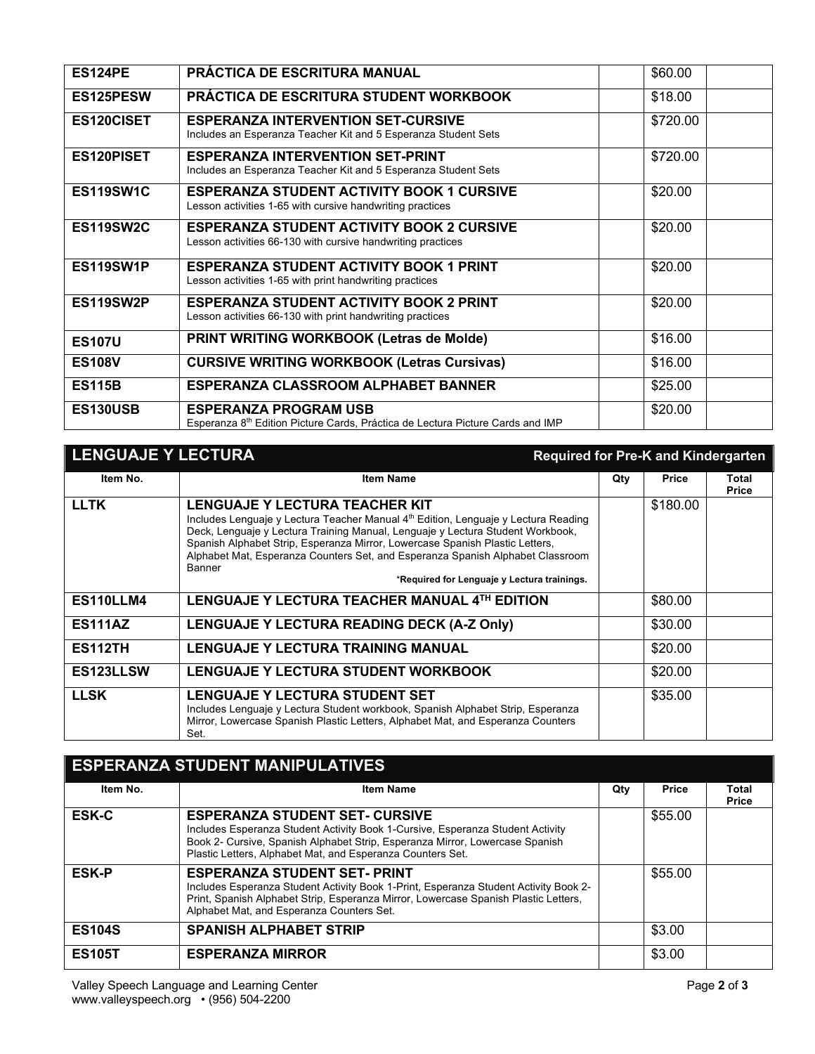| <b>ES124PE</b>   | PRÁCTICA DE ESCRITURA MANUAL                                                                                               | \$60.00  |
|------------------|----------------------------------------------------------------------------------------------------------------------------|----------|
| ES125PESW        | PRÁCTICA DE ESCRITURA STUDENT WORKBOOK                                                                                     | \$18.00  |
| ES120CISET       | <b>ESPERANZA INTERVENTION SET-CURSIVE</b><br>Includes an Esperanza Teacher Kit and 5 Esperanza Student Sets                | \$720.00 |
| ES120PISET       | <b>ESPERANZA INTERVENTION SET-PRINT</b><br>Includes an Esperanza Teacher Kit and 5 Esperanza Student Sets                  | \$720.00 |
| ES119SW1C        | <b>ESPERANZA STUDENT ACTIVITY BOOK 1 CURSIVE</b><br>Lesson activities 1-65 with cursive handwriting practices              | \$20.00  |
| <b>ES119SW2C</b> | <b>ESPERANZA STUDENT ACTIVITY BOOK 2 CURSIVE</b><br>Lesson activities 66-130 with cursive handwriting practices            | \$20.00  |
| ES119SW1P        | <b>ESPERANZA STUDENT ACTIVITY BOOK 1 PRINT</b><br>Lesson activities 1-65 with print handwriting practices                  | \$20.00  |
| ES119SW2P        | <b>ESPERANZA STUDENT ACTIVITY BOOK 2 PRINT</b><br>Lesson activities 66-130 with print handwriting practices                | \$20.00  |
| <b>ES107U</b>    | PRINT WRITING WORKBOOK (Letras de Molde)                                                                                   | \$16.00  |
| <b>ES108V</b>    | <b>CURSIVE WRITING WORKBOOK (Letras Cursivas)</b>                                                                          | \$16.00  |
| <b>ES115B</b>    | <b>ESPERANZA CLASSROOM ALPHABET BANNER</b>                                                                                 | \$25.00  |
| ES130USB         | <b>ESPERANZA PROGRAM USB</b><br>Esperanza 8 <sup>th</sup> Edition Picture Cards, Práctica de Lectura Picture Cards and IMP | \$20.00  |

| <b>LENGUAJE Y LECTURA</b> |                                                                                                                                                                                                                                                                                                                                                                                                                                          |     | <b>Required for Pre-K and Kindergarten</b> |                       |
|---------------------------|------------------------------------------------------------------------------------------------------------------------------------------------------------------------------------------------------------------------------------------------------------------------------------------------------------------------------------------------------------------------------------------------------------------------------------------|-----|--------------------------------------------|-----------------------|
| Item No.                  | <b>Item Name</b>                                                                                                                                                                                                                                                                                                                                                                                                                         | Qty | <b>Price</b>                               | Total<br><b>Price</b> |
| <b>LLTK</b>               | <b>LENGUAJE Y LECTURA TEACHER KIT</b><br>Includes Lenguaje y Lectura Teacher Manual 4th Edition, Lenguaje y Lectura Reading<br>Deck, Lenguaje y Lectura Training Manual, Lenguaje y Lectura Student Workbook,<br>Spanish Alphabet Strip, Esperanza Mirror, Lowercase Spanish Plastic Letters,<br>Alphabet Mat, Esperanza Counters Set, and Esperanza Spanish Alphabet Classroom<br>Banner<br>*Required for Lenguaje y Lectura trainings. |     | \$180.00                                   |                       |
| <b>ES110LLM4</b>          | LENGUAJE Y LECTURA TEACHER MANUAL 4TH EDITION                                                                                                                                                                                                                                                                                                                                                                                            |     | \$80.00                                    |                       |
| <b>ES111AZ</b>            | LENGUAJE Y LECTURA READING DECK (A-Z Only)                                                                                                                                                                                                                                                                                                                                                                                               |     | \$30.00                                    |                       |
| <b>ES112TH</b>            | <b>LENGUAJE Y LECTURA TRAINING MANUAL</b>                                                                                                                                                                                                                                                                                                                                                                                                |     | \$20.00                                    |                       |
| ES123LLSW                 | LENGUAJE Y LECTURA STUDENT WORKBOOK                                                                                                                                                                                                                                                                                                                                                                                                      |     | \$20.00                                    |                       |
| <b>LLSK</b>               | <b>LENGUAJE Y LECTURA STUDENT SET</b><br>Includes Lenguaje y Lectura Student workbook, Spanish Alphabet Strip, Esperanza<br>Mirror, Lowercase Spanish Plastic Letters, Alphabet Mat, and Esperanza Counters<br>Set.                                                                                                                                                                                                                      |     | \$35.00                                    |                       |

| <b>ESPERANZA STUDENT MANIPULATIVES</b> |                                                                                                                                                                                                                                                                       |     |              |                       |
|----------------------------------------|-----------------------------------------------------------------------------------------------------------------------------------------------------------------------------------------------------------------------------------------------------------------------|-----|--------------|-----------------------|
| Item No.                               | <b>Item Name</b>                                                                                                                                                                                                                                                      | Qty | <b>Price</b> | Total<br><b>Price</b> |
| <b>ESK-C</b>                           | <b>ESPERANZA STUDENT SET- CURSIVE</b><br>Includes Esperanza Student Activity Book 1-Cursive, Esperanza Student Activity<br>Book 2- Cursive, Spanish Alphabet Strip, Esperanza Mirror, Lowercase Spanish<br>Plastic Letters, Alphabet Mat, and Esperanza Counters Set. |     | \$55.00      |                       |
| <b>ESK-P</b>                           | <b>ESPERANZA STUDENT SET- PRINT</b><br>Includes Esperanza Student Activity Book 1-Print, Esperanza Student Activity Book 2-<br>Print, Spanish Alphabet Strip, Esperanza Mirror, Lowercase Spanish Plastic Letters,<br>Alphabet Mat, and Esperanza Counters Set.       |     | \$55.00      |                       |
| <b>ES104S</b>                          | <b>SPANISH ALPHABET STRIP</b>                                                                                                                                                                                                                                         |     | \$3.00       |                       |
| <b>ES105T</b>                          | <b>ESPERANZA MIRROR</b>                                                                                                                                                                                                                                               |     | \$3.00       |                       |